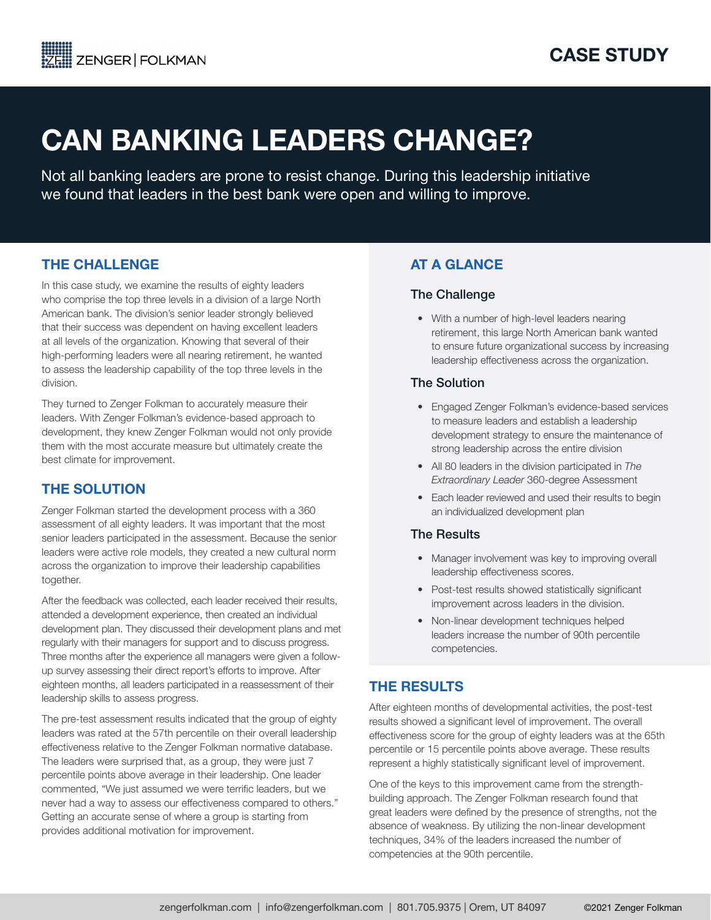# CAN BANKING LEADERS CHANGE?

Not all banking leaders are prone to resist change. During this leadership initiative we found that leaders in the best bank were open and willing to improve.

# THE CHALLENGE

In this case study, we examine the results of eighty leaders who comprise the top three levels in a division of a large North American bank. The division's senior leader strongly believed that their success was dependent on having excellent leaders at all levels of the organization. Knowing that several of their high-performing leaders were all nearing retirement, he wanted to assess the leadership capability of the top three levels in the division.

They turned to Zenger Folkman to accurately measure their leaders. With Zenger Folkman's evidence-based approach to development, they knew Zenger Folkman would not only provide them with the most accurate measure but ultimately create the best climate for improvement.

# THE SOLUTION

Zenger Folkman started the development process with a 360 assessment of all eighty leaders. It was important that the most senior leaders participated in the assessment. Because the senior leaders were active role models, they created a new cultural norm across the organization to improve their leadership capabilities together.

After the feedback was collected, each leader received their results, attended a development experience, then created an individual development plan. They discussed their development plans and met regularly with their managers for support and to discuss progress. Three months after the experience all managers were given a followup survey assessing their direct report's efforts to improve. After eighteen months, all leaders participated in a reassessment of their leadership skills to assess progress.

The pre-test assessment results indicated that the group of eighty leaders was rated at the 57th percentile on their overall leadership effectiveness relative to the Zenger Folkman normative database. The leaders were surprised that, as a group, they were just 7 percentile points above average in their leadership. One leader commented, "We just assumed we were terrific leaders, but we never had a way to assess our effectiveness compared to others." Getting an accurate sense of where a group is starting from provides additional motivation for improvement.

# AT A GLANCE

#### The Challenge

• With a number of high-level leaders nearing retirement, this large North American bank wanted to ensure future organizational success by increasing leadership effectiveness across the organization.

### The Solution

- Engaged Zenger Folkman's evidence-based services to measure leaders and establish a leadership development strategy to ensure the maintenance of strong leadership across the entire division
- All 80 leaders in the division participated in *The Extraordinary Leader* 360-degree Assessment
- Each leader reviewed and used their results to begin an individualized development plan

#### The Results

- Manager involvement was key to improving overall leadership effectiveness scores.
- Post-test results showed statistically significant improvement across leaders in the division.
- Non-linear development techniques helped leaders increase the number of 90th percentile competencies.

# THE RESULTS

After eighteen months of developmental activities, the post-test results showed a significant level of improvement. The overall effectiveness score for the group of eighty leaders was at the 65th percentile or 15 percentile points above average. These results represent a highly statistically significant level of improvement.

One of the keys to this improvement came from the strengthbuilding approach. The Zenger Folkman research found that great leaders were defined by the presence of strengths, not the absence of weakness. By utilizing the non-linear development techniques, 34% of the leaders increased the number of competencies at the 90th percentile.